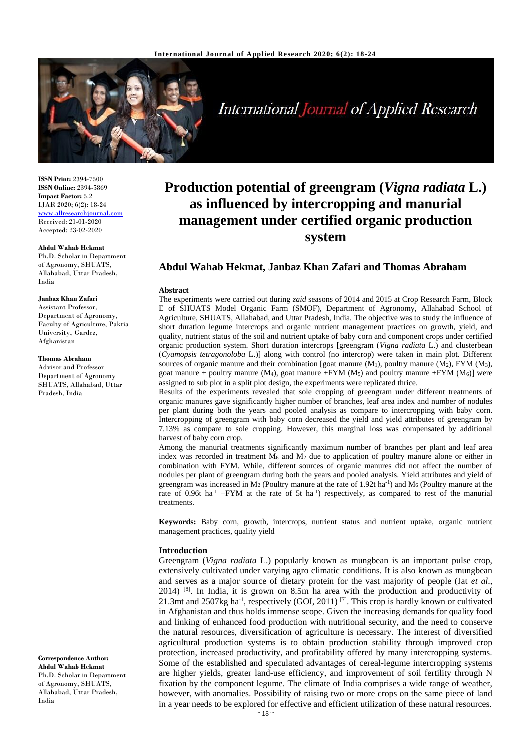

**International Journal of Applied Research** 

**ISSN Print:** 2394-7500 **ISSN Online:** 2394-5869 **Impact Factor:** 5.2 IJAR 2020; 6(2): 18-24 [www.allresearchjournal.com](http://www.allresearchjournal.com/) Received: 21-01-2020 Accepted: 23-02-2020

#### **Abdul Wahab Hekmat**

Ph.D. Scholar in Department of Agronomy, SHUATS, Allahabad, Uttar Pradesh, India

# **Janbaz Khan Zafari**

Assistant Professor, Department of Agronomy, Faculty of Agriculture, Paktia University, Gardez, Afghanistan

#### **Thomas Abraham**

Advisor and Professor Department of Agronomy SHUATS, Allahabad, Uttar Pradesh, India

**Correspondence Author: Abdul Wahab Hekmat** Ph.D. Scholar in Department of Agronomy, SHUATS, Allahabad, Uttar Pradesh, India

# **Production potential of greengram (***Vigna radiata* **L.) as influenced by intercropping and manurial management under certified organic production system**

# **Abdul Wahab Hekmat, Janbaz Khan Zafari and Thomas Abraham**

#### **Abstract**

The experiments were carried out during *zaid* seasons of 2014 and 2015 at Crop Research Farm, Block E of SHUATS Model Organic Farm (SMOF), Department of Agronomy, Allahabad School of Agriculture, SHUATS, Allahabad, and Uttar Pradesh, India. The objective was to study the influence of short duration legume intercrops and organic nutrient management practices on growth, yield, and quality, nutrient status of the soil and nutrient uptake of baby corn and component crops under certified organic production system. Short duration intercrops [greengram (*Vigna radiata* L.) and clusterbean (*Cyamopsis tetragonoloba* L.)] along with control (no intercrop) were taken in main plot. Different sources of organic manure and their combination [goat manure  $(M_1)$ , poultry manure  $(M_2)$ , FYM  $(M_3)$ , goat manure + poultry manure  $(M_4)$ , goat manure +FYM  $(M_5)$  and poultry manure +FYM  $(M_6)$ ] were assigned to sub plot in a split plot design, the experiments were replicated thrice.

Results of the experiments revealed that sole cropping of greengram under different treatments of organic manures gave significantly higher number of branches, leaf area index and number of nodules per plant during both the years and pooled analysis as compare to intercropping with baby corn. Intercropping of greengram with baby corn decreased the yield and yield attributes of greengram by 7.13% as compare to sole cropping. However, this marginal loss was compensated by additional harvest of baby corn crop.

Among the manurial treatments significantly maximum number of branches per plant and leaf area index was recorded in treatment  $\overline{M}_6$  and  $\overline{M}_2$  due to application of poultry manure alone or either in combination with FYM. While, different sources of organic manures did not affect the number of nodules per plant of greengram during both the years and pooled analysis. Yield attributes and yield of greengram was increased in  $M_2$  (Poultry manure at the rate of 1.92t ha<sup>-1</sup>) and  $M_6$  (Poultry manure at the rate of 0.96t ha<sup>-1</sup> +FYM at the rate of 5t ha<sup>-1</sup>) respectively, as compared to rest of the manurial treatments.

**Keywords:** Baby corn, growth, intercrops, nutrient status and nutrient uptake, organic nutrient management practices, quality yield

# **Introduction**

Greengram (*Vigna radiata* L.) popularly known as mungbean is an important pulse crop, extensively cultivated under varying agro climatic conditions. It is also known as mungbean and serves as a major source of dietary protein for the vast majority of people (Jat *et al*., 2014) [8] . In India, it is grown on 8.5m ha area with the production and productivity of 21.3mt and 2507kg ha<sup>-1</sup>, respectively (GOI, 2011)<sup>[7]</sup>. This crop is hardly known or cultivated in Afghanistan and thus holds immense scope. Given the increasing demands for quality food and linking of enhanced food production with nutritional security, and the need to conserve the natural resources, diversification of agriculture is necessary. The interest of diversified agricultural production systems is to obtain production stability through improved crop protection, increased productivity, and profitability offered by many intercropping systems. Some of the established and speculated advantages of cereal-legume intercropping systems are higher yields, greater land-use efficiency, and improvement of soil fertility through N fixation by the component legume. The climate of India comprises a wide range of weather, however, with anomalies. Possibility of raising two or more crops on the same piece of land in a year needs to be explored for effective and efficient utilization of these natural resources.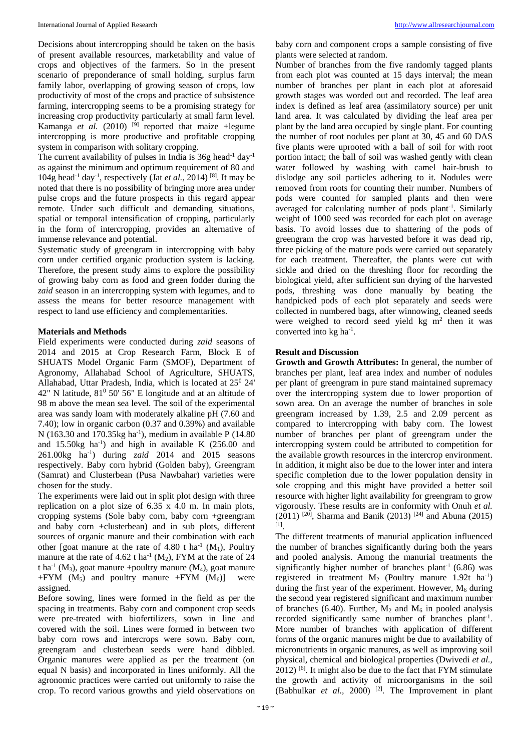Decisions about intercropping should be taken on the basis of present available resources, marketability and value of crops and objectives of the farmers. So in the present scenario of preponderance of small holding, surplus farm family labor, overlapping of growing season of crops, low productivity of most of the crops and practice of subsistence farming, intercropping seems to be a promising strategy for increasing crop productivity particularly at small farm level. Kamanga *et al.* (2010) <sup>[9]</sup> reported that maize +legume intercropping is more productive and profitable cropping system in comparison with solitary cropping.

The current availability of pulses in India is  $36g$  head<sup>-1</sup> day<sup>-1</sup> as against the minimum and optimum requirement of 80 and 104g head-1 day-1 , respectively (Jat *et al.,* 2014) [8]. It may be noted that there is no possibility of bringing more area under pulse crops and the future prospects in this regard appear remote. Under such difficult and demanding situations, spatial or temporal intensification of cropping, particularly in the form of intercropping, provides an alternative of immense relevance and potential.

Systematic study of greengram in intercropping with baby corn under certified organic production system is lacking. Therefore, the present study aims to explore the possibility of growing baby corn as food and green fodder during the *zaid* season in an intercropping system with legumes, and to assess the means for better resource management with respect to land use efficiency and complementarities.

# **Materials and Methods**

Field experiments were conducted during *zaid* seasons of 2014 and 2015 at Crop Research Farm, Block E of SHUATS Model Organic Farm (SMOF), Department of Agronomy, Allahabad School of Agriculture, SHUATS, Allahabad, Uttar Pradesh, India, which is located at 25<sup>0</sup> 24' 42" N latitude,  $81^{\circ}$  50' 56" E longitude and at an altitude of 98 m above the mean sea level. The soil of the experimental area was sandy loam with moderately alkaline pH (7.60 and 7.40); low in organic carbon (0.37 and 0.39%) and available N (163.30 and 170.35 $kg$  ha<sup>-1</sup>), medium in available P (14.80) and  $15.50$ kg ha<sup>-1</sup>) and high in available K  $(256.00$  and 261.00kg ha-1 ) during *zaid* 2014 and 2015 seasons respectively. Baby corn hybrid (Golden baby), Greengram (Samrat) and Clusterbean (Pusa Nawbahar) varieties were chosen for the study.

The experiments were laid out in split plot design with three replication on a plot size of 6.35 x 4.0 m. In main plots, cropping systems (Sole baby corn, baby corn +greengram and baby corn +clusterbean) and in sub plots, different sources of organic manure and their combination with each other [goat manure at the rate of 4.80 t ha<sup>-1</sup> ( $M_1$ ), Poultry manure at the rate of  $4.62$  t ha<sup>-1</sup> (M<sub>2</sub>), FYM at the rate of 24 t ha<sup>-1</sup> ( $M_3$ ), goat manure +poultry manure ( $M_4$ ), goat manure +FYM  $(M_5)$  and poultry manure +FYM  $(M_6)$ ] were assigned.

Before sowing, lines were formed in the field as per the spacing in treatments. Baby corn and component crop seeds were pre-treated with biofertilizers, sown in line and covered with the soil. Lines were formed in between two baby corn rows and intercrops were sown. Baby corn, greengram and clusterbean seeds were hand dibbled. Organic manures were applied as per the treatment (on equal N basis) and incorporated in lines uniformly. All the agronomic practices were carried out uniformly to raise the crop. To record various growths and yield observations on

baby corn and component crops a sample consisting of five plants were selected at random.

Number of branches from the five randomly tagged plants from each plot was counted at 15 days interval; the mean number of branches per plant in each plot at aforesaid growth stages was worded out and recorded. The leaf area index is defined as leaf area (assimilatory source) per unit land area. It was calculated by dividing the leaf area per plant by the land area occupied by single plant. For counting the number of root nodules per plant at 30, 45 and 60 DAS five plants were uprooted with a ball of soil for with root portion intact; the ball of soil was washed gently with clean water followed by washing with camel hair-brush to dislodge any soil particles adhering to it. Nodules were removed from roots for counting their number. Numbers of pods were counted for sampled plants and then were averaged for calculating number of pods plant<sup>-1</sup>. Similarly weight of 1000 seed was recorded for each plot on average basis. To avoid losses due to shattering of the pods of greengram the crop was harvested before it was dead rip, three picking of the mature pods were carried out separately for each treatment. Thereafter, the plants were cut with sickle and dried on the threshing floor for recording the biological yield, after sufficient sun drying of the harvested pods, threshing was done manually by beating the handpicked pods of each plot separately and seeds were collected in numbered bags, after winnowing, cleaned seeds were weighed to record seed yield  $kg$  m<sup>2</sup> then it was converted into kg ha<sup>-1</sup>.

# **Result and Discussion**

**Growth and Growth Attributes:** In general, the number of branches per plant, leaf area index and number of nodules per plant of greengram in pure stand maintained supremacy over the intercropping system due to lower proportion of sown area. On an average the number of branches in sole greengram increased by 1.39, 2.5 and 2.09 percent as compared to intercropping with baby corn. The lowest number of branches per plant of greengram under the intercropping system could be attributed to competition for the available growth resources in the intercrop environment. In addition, it might also be due to the lower inter and intera specific completion due to the lower population density in sole cropping and this might have provided a better soil resource with higher light availability for greengram to grow vigorously. These results are in conformity with Onuh *et al.*  $(2011)$  <sup>[20]</sup>, Sharma and Banik (2013) <sup>[24]</sup> and Abuna (2015) [1] .

The different treatments of manurial application influenced the number of branches significantly during both the years and pooled analysis. Among the manurial treatments the significantly higher number of branches plant<sup>-1</sup> (6.86) was registered in treatment  $M_2$  (Poultry manure 1.92t ha<sup>-1</sup>) during the first year of the experiment. However,  $M_6$  during the second year registered significant and maximum number of branches (6.40). Further,  $M_2$  and  $M_6$  in pooled analysis recorded significantly same number of branches plant<sup>-1</sup>. More number of branches with application of different forms of the organic manures might be due to availability of micronutrients in organic manures, as well as improving soil physical, chemical and biological properties (Dwivedi *et al.,*   $2012$ ) <sup>[6]</sup>. It might also be due to the fact that FYM stimulate the growth and activity of microorganisms in the soil (Babhulkar *et al.,* 2000) [2]. The Improvement in plant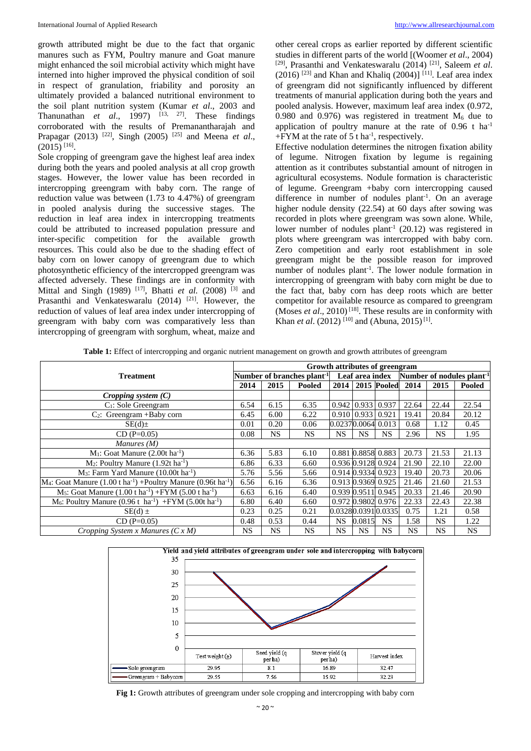growth attributed might be due to the fact that organic manures such as FYM, Poultry manure and Goat manure might enhanced the soil microbial activity which might have interned into higher improved the physical condition of soil in respect of granulation, friability and porosity an ultimately provided a balanced nutritional environment to the soil plant nutrition system (Kumar *et al*., 2003 and Thanunathan  $et$  al., 1997)  $[13, 27]$ . These findings corroborated with the results of Premanantharajah and Prapagar (2013) [22], Singh (2005) [25] and Meena *et al*.,  $(2015)$ <sup>[16]</sup>.

Sole cropping of greengram gave the highest leaf area index during both the years and pooled analysis at all crop growth stages. However, the lower value has been recorded in intercropping greengram with baby corn. The range of reduction value was between (1.73 to 4.47%) of greengram in pooled analysis during the successive stages. The reduction in leaf area index in intercropping treatments could be attributed to increased population pressure and inter-specific competition for the available growth resources. This could also be due to the shading effect of baby corn on lower canopy of greengram due to which photosynthetic efficiency of the intercropped greengram was affected adversely. These findings are in conformity with Mittal and Singh (1989)<sup>[17]</sup>, Bhatti *et al.* (2008)<sup>[3]</sup> and Prasanthi and Venkateswaralu (2014) <sup>[21]</sup>. However, the reduction of values of leaf area index under intercropping of greengram with baby corn was comparatively less than intercropping of greengram with sorghum, wheat, maize and other cereal crops as earlier reported by different scientific studies in different parts of the world [(Woomer *et al*., 2004) [29] , Prasanthi and Venkateswaralu (2014) [21], Saleem *et al*.  $(2016)$ <sup>[23]</sup> and Khan and Khaliq  $(2004)$ ]<sup>[11]</sup>. Leaf area index of greengram did not significantly influenced by different treatments of manurial application during both the years and pooled analysis. However, maximum leaf area index (0.972, 0.980 and 0.976) was registered in treatment  $M_6$  due to application of poultry manure at the rate of  $0.96$  t ha<sup>-1</sup>  $+$  FYM at the rate of 5 t ha<sup>-1</sup>, respectively.

Effective nodulation determines the nitrogen fixation ability of legume. Nitrogen fixation by legume is regaining attention as it contributes substantial amount of nitrogen in agricultural ecosystems. Nodule formation is characteristic of legume. Greengram +baby corn intercropping caused difference in number of nodules plant<sup>-1</sup>. On an average higher nodule density (22.54) at 60 days after sowing was recorded in plots where greengram was sown alone. While, lower number of nodules  $plant^{-1}$  (20.12) was registered in plots where greengram was intercropped with baby corn. Zero competition and early root establishment in sole greengram might be the possible reason for improved number of nodules plant<sup>-1</sup>. The lower nodule formation in intercropping of greengram with baby corn might be due to the fact that, baby corn has deep roots which are better competitor for available resource as compared to greengram (Moses *et al*.*,* 2010) [18] . These results are in conformity with Khan *et al.* (2012)<sup>[10]</sup> and (Abuna, 2015)<sup>[1]</sup>.

| Table 1: Effect of intercropping and organic nutrient management on growth and growth attributes of greengram |  |  |  |  |
|---------------------------------------------------------------------------------------------------------------|--|--|--|--|
|---------------------------------------------------------------------------------------------------------------|--|--|--|--|

| <b>Treatment</b>                                                                                        |      | Growth attributes of greengram         |           |                               |           |                    |           |           |                                       |  |  |
|---------------------------------------------------------------------------------------------------------|------|----------------------------------------|-----------|-------------------------------|-----------|--------------------|-----------|-----------|---------------------------------------|--|--|
|                                                                                                         |      | Number of branches plant <sup>-1</sup> |           |                               |           | Leaf area index    |           |           | Number of nodules plant <sup>-1</sup> |  |  |
|                                                                                                         | 2014 | 2015                                   | Pooled    | 2014                          |           | 2015 Pooled        | 2014      | 2015      | Pooled                                |  |  |
| Cropping system $(C)$                                                                                   |      |                                        |           |                               |           |                    |           |           |                                       |  |  |
| C <sub>1</sub> : Sole Greengram                                                                         | 6.54 | 6.15                                   | 6.35      | $0.942 \mid 0.933 \mid 0.937$ |           |                    | 22.64     | 22.44     | 22.54                                 |  |  |
| $C_2$ : Greengram +Baby corn                                                                            | 6.45 | 6.00                                   | 6.22      | $0.910$   $0.933$   $0.921$   |           |                    | 19.41     | 20.84     | 20.12                                 |  |  |
| $SE(d)$ ±                                                                                               | 0.01 | 0.20                                   | 0.06      |                               |           | 0.02370.0064 0.013 | 0.68      | 1.12      | 0.45                                  |  |  |
| $CD (P=0.05)$                                                                                           | 0.08 | NS.                                    | <b>NS</b> | NS.                           | <b>NS</b> | <b>NS</b>          | 2.96      | <b>NS</b> | 1.95                                  |  |  |
| Manures $(M)$                                                                                           |      |                                        |           |                               |           |                    |           |           |                                       |  |  |
| $M_1$ : Goat Manure (2.00t ha <sup>-1</sup> )                                                           | 6.36 | 5.83                                   | 6.10      | 0.881 0.8858 0.883            |           |                    | 20.73     | 21.53     | 21.13                                 |  |  |
| $M_2$ : Poultry Manure (1.92t ha <sup>-1</sup> )                                                        | 6.86 | 6.33                                   | 6.60      | 0.936 0.9128 0.924            |           |                    | 21.90     | 22.10     | 22.00                                 |  |  |
| $M_3$ : Farm Yard Manure (10.00t ha <sup>-1</sup> )                                                     | 5.76 | 5.56                                   | 5.66      |                               |           | 0.914 0.9334 0.923 | 19.40     | 20.73     | 20.06                                 |  |  |
| $M_4$ : Goat Manure (1.00 t ha <sup>-1</sup> ) +Poultry Manure (0.96t ha <sup>-1</sup> )                | 6.56 | 6.16                                   | 6.36      |                               |           | 0.913 0.9369 0.925 | 21.46     | 21.60     | 21.53                                 |  |  |
| M <sub>5</sub> : Goat Manure $(1.00 \text{ t} \text{ ha}^{-1})$ +FYM $(5.00 \text{ t} \text{ ha}^{-1})$ | 6.63 | 6.16                                   | 6.40      |                               |           | 0.939 0.9511 0.945 | 20.33     | 21.46     | 20.90                                 |  |  |
| M <sub>6</sub> : Poultry Manure $(0.96 t \text{ ha}^{-1})$ +FYM $(5.00 t \text{ ha}^{-1})$              | 6.80 | 6.40                                   | 6.60      |                               |           | 0.972 0.9802 0.976 | 22.33     | 22.43     | 22.38                                 |  |  |
| $SE(d) \pm$                                                                                             | 0.23 | 0.25                                   | 0.21      |                               |           | 0.03280.03910.0335 | 0.75      | 1.21      | 0.58                                  |  |  |
| $CD (P=0.05)$                                                                                           | 0.48 | 0.53                                   | 0.44      | NS.                           | 0.0815    | <b>NS</b>          | 1.58      | <b>NS</b> | 1.22                                  |  |  |
| Cropping System x Manures $(C x M)$                                                                     |      | NS.                                    | <b>NS</b> | NS.                           | <b>NS</b> | <b>NS</b>          | <b>NS</b> | <b>NS</b> | <b>NS</b>                             |  |  |



**Fig 1:** Growth attributes of greengram under sole cropping and intercropping with baby corn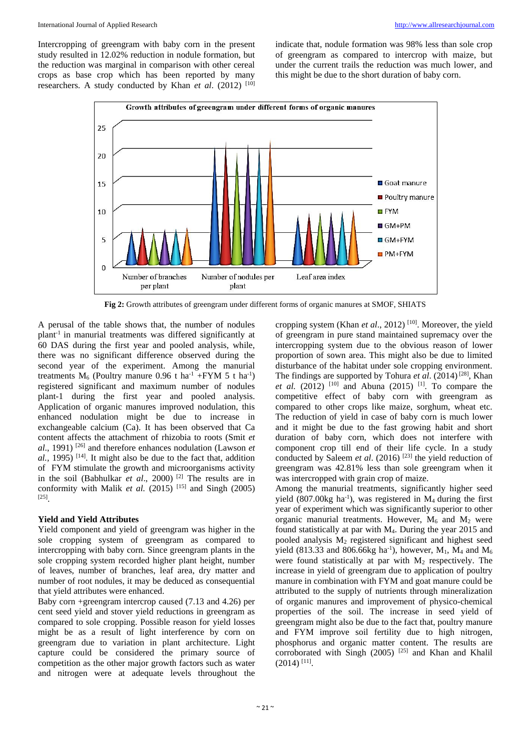Intercropping of greengram with baby corn in the present study resulted in 12.02% reduction in nodule formation, but the reduction was marginal in comparison with other cereal crops as base crop which has been reported by many researchers. A study conducted by Khan *et al.* (2012) <sup>[10]</sup>

indicate that, nodule formation was 98% less than sole crop of greengram as compared to intercrop with maize, but under the current trails the reduction was much lower, and this might be due to the short duration of baby corn.



**Fig 2:** Growth attributes of greengram under different forms of organic manures at SMOF, SHIATS

A perusal of the table shows that, the number of nodules plant-1 in manurial treatments was differed significantly at 60 DAS during the first year and pooled analysis, while, there was no significant difference observed during the second year of the experiment. Among the manurial treatments  $M_6$  (Poultry manure 0.96 t ha<sup>-1</sup> +FYM 5 t ha<sup>-1</sup>) registered significant and maximum number of nodules plant-1 during the first year and pooled analysis. Application of organic manures improved nodulation, this enhanced nodulation might be due to increase in exchangeable calcium (Ca). It has been observed that Ca content affects the attachment of rhizobia to roots (Smit *et al*., 1991) [26] and therefore enhances nodulation (Lawson *et*   $a$ ., 1995)<sup>[14]</sup>. It might also be due to the fact that, addition of FYM stimulate the growth and microorganisms activity in the soil (Babhulkar *et al*., 2000) [2] The results are in conformity with Malik *et al.* (2015)<sup>[15]</sup> and Singh (2005) [25] .

# **Yield and Yield Attributes**

Yield component and yield of greengram was higher in the sole cropping system of greengram as compared to intercropping with baby corn. Since greengram plants in the sole cropping system recorded higher plant height, number of leaves, number of branches, leaf area, dry matter and number of root nodules, it may be deduced as consequential that yield attributes were enhanced.

Baby corn +greengram intercrop caused (7.13 and 4.26) per cent seed yield and stover yield reductions in greengram as compared to sole cropping. Possible reason for yield losses might be as a result of light interference by corn on greengram due to variation in plant architecture. Light capture could be considered the primary source of competition as the other major growth factors such as water and nitrogen were at adequate levels throughout the

cropping system (Khan *et al*., 2012) [10]. Moreover, the yield of greengram in pure stand maintained supremacy over the intercropping system due to the obvious reason of lower proportion of sown area. This might also be due to limited disturbance of the habitat under sole cropping environment. The findings are supported by Tohura *et al*. (2014) [28], Khan *et al.* (2012) <sup>[10]</sup> and Abuna (2015) <sup>[1]</sup>. To compare the competitive effect of baby corn with greengram as compared to other crops like maize, sorghum, wheat etc. The reduction of yield in case of baby corn is much lower and it might be due to the fast growing habit and short duration of baby corn, which does not interfere with component crop till end of their life cycle. In a study conducted by Saleem *et al.* (2016)<sup>[23]</sup> the yield reduction of greengram was 42.81% less than sole greengram when it was intercropped with grain crop of maize.

Among the manurial treatments, significantly higher seed yield  $(807.00kg \text{ ha}^{-1})$ , was registered in  $M_4$  during the first year of experiment which was significantly superior to other organic manurial treatments. However,  $M_6$  and  $M_2$  were found statistically at par with M4. During the year 2015 and pooled analysis  $M_2$  registered significant and highest seed yield (813.33 and 806.66kg ha<sup>-1</sup>), however, M<sub>1</sub>, M<sub>4</sub> and M<sub>6</sub> were found statistically at par with  $M_2$  respectively. The increase in yield of greengram due to application of poultry manure in combination with FYM and goat manure could be attributed to the supply of nutrients through mineralization of organic manures and improvement of physico-chemical properties of the soil. The increase in seed yield of greengram might also be due to the fact that, poultry manure and FYM improve soil fertility due to high nitrogen, phosphorus and organic matter content. The results are corroborated with Singh (2005)  $^{[25]}$  and Khan and Khalil  $(2014)$ <sup>[11]</sup>.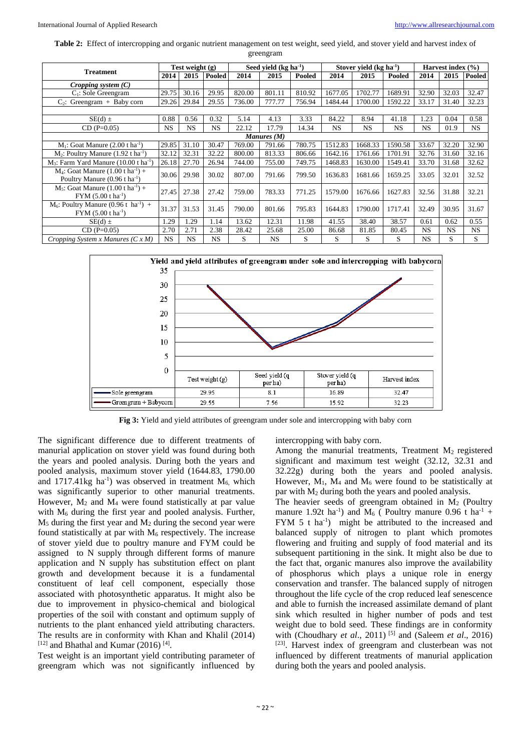**Table 2:** Effect of intercropping and organic nutrient management on test weight, seed yield, and stover yield and harvest index of greengram

| <b>Treatment</b>                                                                              | Test weight (g) |           | Seed vield $(kg ha-1)$ |        |           | Stover yield $(kg ha-1)$ |           |           | Harvest index $(\% )$ |           |           |           |
|-----------------------------------------------------------------------------------------------|-----------------|-----------|------------------------|--------|-----------|--------------------------|-----------|-----------|-----------------------|-----------|-----------|-----------|
|                                                                                               | 2014            | 2015      | Pooled                 | 2014   | 2015      | Pooled                   | 2014      | 2015      | Pooled                | 2014      | 2015      | Pooled    |
| Cropping system $(C)$                                                                         |                 |           |                        |        |           |                          |           |           |                       |           |           |           |
| $C_1$ : Sole Greengram                                                                        | 29.75           | 30.16     | 29.95                  | 820.00 | 801.11    | 810.92                   | 1677.05   | 1702.77   | 1689.91               | 32.90     | 32.03     | 32.47     |
| $C_2$ : Greengram + Baby corn                                                                 | 29.26           | 29.84     | 29.55                  | 736.00 | 777.77    | 756.94                   | 1484.44   | 1700.00   | 1592.22               | 33.17     | 31.40     | 32.23     |
|                                                                                               |                 |           |                        |        |           |                          |           |           |                       |           |           |           |
| $SE(d) \pm$                                                                                   | 0.88            | 0.56      | 0.32                   | 5.14   | 4.13      | 3.33                     | 84.22     | 8.94      | 41.18                 | 1.23      | 0.04      | 0.58      |
| $CD(P=0.05)$                                                                                  | <b>NS</b>       | <b>NS</b> | <b>NS</b>              | 22.12  | 17.79     | 14.34                    | <b>NS</b> | <b>NS</b> | NS.                   | NS.       | 01.9      | <b>NS</b> |
| Manures (M)                                                                                   |                 |           |                        |        |           |                          |           |           |                       |           |           |           |
| $M_1$ : Goat Manure (2.00 t ha <sup>-1</sup> )                                                | 29.85           | 31.10     | 30.47                  | 769.00 | 791.66    | 780.75                   | 1512.83   | 1668.33   | 1590.58               | 33.67     | 32.20     | 32.90     |
| $M_2$ : Poultry Manure (1.92 t ha <sup>-1</sup> )                                             | 32.12           | 32.31     | 32.22                  | 800.00 | 813.33    | 806.66                   | 1642.16   | 1761.66   | 1701.91               | 32.76     | 31.60     | 32.16     |
| $M_3$ : Farm Yard Manure (10.00 t ha <sup>-1</sup> )                                          | 26.18           | 27.70     | 26.94                  | 744.00 | 755.00    | 749.75                   | 1468.83   | 1630.00   | 1549.41               | 33.70     | 31.68     | 32.62     |
| $M_4$ : Goat Manure (1.00 t ha <sup>-1</sup> ) +<br>Poultry Manure $(0.96 \text{ t ha}^{-1})$ | 30.06           | 29.98     | 30.02                  | 807.00 | 791.66    | 799.50                   | 1636.83   | 1681.66   | 1659.25               | 33.05     | 32.01     | 32.52     |
| $M_5$ : Goat Manure (1.00 t ha <sup>-1</sup> ) +<br>$FYM (5.00 t ha-1)$                       | 27.45           | 27.38     | 27.42                  | 759.00 | 783.33    | 771.25                   | 1579.00   | 1676.66   | 1627.83               | 32.56     | 31.88     | 32.21     |
| $M_6$ : Poultry Manure (0.96 t ha <sup>-1</sup> ) +<br>$FYM (5.00 t ha-1)$                    | 31.37           | 31.53     | 31.45                  | 790.00 | 801.66    | 795.83                   | 1644.83   | 1790.00   | 1717.41               | 32.49     | 30.95     | 31.67     |
| $SE(d) \pm$                                                                                   | 1.29            | 1.29      | 1.14                   | 13.62  | 12.31     | 11.98                    | 41.55     | 38.40     | 38.57                 | 0.61      | 0.62      | 0.55      |
| $CD(P=0.05)$                                                                                  | 2.70            | 2.71      | 2.38                   | 28.42  | 25.68     | 25.00                    | 86.68     | 81.85     | 80.45                 | <b>NS</b> | <b>NS</b> | <b>NS</b> |
| Cropping System x Manures $(C x M)$                                                           | <b>NS</b>       | <b>NS</b> | <b>NS</b>              | S      | <b>NS</b> | S                        | S         | S         | S                     | <b>NS</b> | S         | S         |



**Fig 3:** Yield and yield attributes of greengram under sole and intercropping with baby corn

The significant difference due to different treatments of manurial application on stover yield was found during both the years and pooled analysis. During both the years and pooled analysis, maximum stover yield (1644.83, 1790.00 and 1717.41 $kg$  ha<sup>-1</sup>) was observed in treatment  $M<sub>6</sub>$ , which was significantly superior to other manurial treatments. However,  $M_2$  and  $M_4$  were found statistically at par value with  $M_6$  during the first year and pooled analysis. Further,  $M<sub>5</sub>$  during the first year and  $M<sub>2</sub>$  during the second year were found statistically at par with  $M_6$  respectively. The increase of stover yield due to poultry manure and FYM could be assigned to N supply through different forms of manure application and N supply has substitution effect on plant growth and development because it is a fundamental constituent of leaf cell component, especially those associated with photosynthetic apparatus. It might also be due to improvement in physico-chemical and biological properties of the soil with constant and optimum supply of nutrients to the plant enhanced yield attributing characters. The results are in conformity with Khan and Khalil (2014)  $^{[12]}$  and Bhathal and Kumar (2016)<sup>[4]</sup>.

Test weight is an important yield contributing parameter of greengram which was not significantly influenced by

intercropping with baby corn.

Among the manurial treatments, Treatment  $M<sub>2</sub>$  registered significant and maximum test weight (32.12, 32.31 and 32.22g) during both the years and pooled analysis. However,  $M_1$ ,  $M_4$  and  $M_6$  were found to be statistically at par with M<sup>2</sup> during both the years and pooled analysis.

The heavier seeds of greengram obtained in  $M_2$  (Poultry manure 1.92t ha<sup>-1</sup>) and M<sub>6</sub> (Poultry manure 0.96 t ha<sup>-1</sup> + FYM 5 t ha<sup>-1</sup>) might be attributed to the increased and balanced supply of nitrogen to plant which promotes flowering and fruiting and supply of food material and its subsequent partitioning in the sink. It might also be due to the fact that, organic manures also improve the availability of phosphorus which plays a unique role in energy conservation and transfer. The balanced supply of nitrogen throughout the life cycle of the crop reduced leaf senescence and able to furnish the increased assimilate demand of plant sink which resulted in higher number of pods and test weight due to bold seed. These findings are in conformity with (Choudhary *et al.*, 2011)<sup>[5]</sup> and (Saleem *et al.*, 2016) [23]. Harvest index of greengram and clusterbean was not influenced by different treatments of manurial application during both the years and pooled analysis.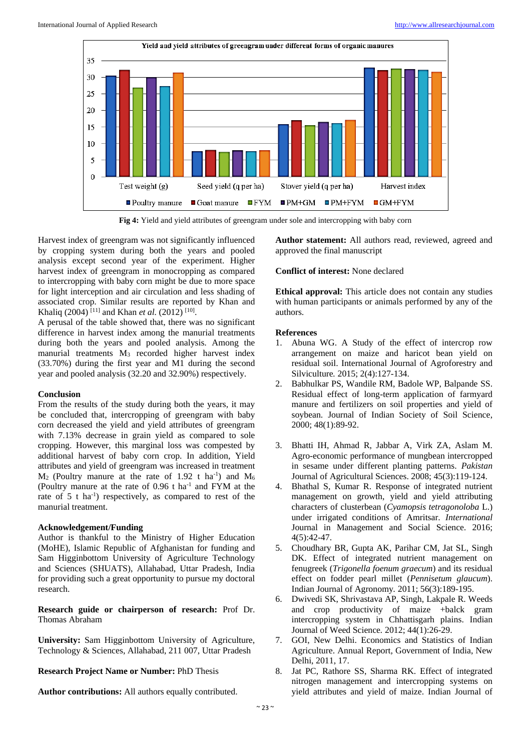

**Fig 4:** Yield and yield attributes of greengram under sole and intercropping with baby corn

Harvest index of greengram was not significantly influenced by cropping system during both the years and pooled analysis except second year of the experiment. Higher harvest index of greengram in monocropping as compared to intercropping with baby corn might be due to more space for light interception and air circulation and less shading of associated crop. Similar results are reported by Khan and Khaliq (2004)<sup>[11]</sup> and Khan *et al.* (2012)<sup>[10]</sup>.

A perusal of the table showed that, there was no significant difference in harvest index among the manurial treatments during both the years and pooled analysis. Among the manurial treatments  $M_3$  recorded higher harvest index (33.70%) during the first year and M1 during the second year and pooled analysis (32.20 and 32.90%) respectively.

# **Conclusion**

From the results of the study during both the years, it may be concluded that, intercropping of greengram with baby corn decreased the yield and yield attributes of greengram with 7.13% decrease in grain yield as compared to sole cropping. However, this marginal loss was compested by additional harvest of baby corn crop. In addition, Yield attributes and yield of greengram was increased in treatment  $M_2$  (Poultry manure at the rate of 1.92 t ha<sup>-1</sup>) and  $M_6$ (Poultry manure at the rate of  $0.96$  t ha<sup>-1</sup> and FYM at the rate of 5 t ha<sup>-1</sup>) respectively, as compared to rest of the manurial treatment.

# **Acknowledgement/Funding**

Author is thankful to the Ministry of Higher Education (MoHE), Islamic Republic of Afghanistan for funding and Sam Higginbottom University of Agriculture Technology and Sciences (SHUATS), Allahabad, Uttar Pradesh, India for providing such a great opportunity to pursue my doctoral research.

**Research guide or chairperson of research:** Prof Dr. Thomas Abraham

**University:** Sam Higginbottom University of Agriculture, Technology & Sciences, Allahabad, 211 007, Uttar Pradesh

# **Research Project Name or Number:** PhD Thesis

**Author contributions:** All authors equally contributed.

**Author statement:** All authors read, reviewed, agreed and approved the final manuscript

# **Conflict of interest:** None declared

**Ethical approval:** This article does not contain any studies with human participants or animals performed by any of the authors.

# **References**

- 1. Abuna WG. A Study of the effect of intercrop row arrangement on maize and haricot bean yield on residual soil. International Journal of Agroforestry and Silviculture*.* 2015; 2(4):127-134.
- 2. Babhulkar PS, Wandile RM, Badole WP, Balpande SS. Residual effect of long-term application of farmyard manure and fertilizers on soil properties and yield of soybean. Journal of Indian Society of Soil Science, 2000; 48(1):89-92.
- 3. Bhatti IH, Ahmad R, Jabbar A, Virk ZA, Aslam M. Agro-economic performance of mungbean intercropped in sesame under different planting patterns. *Pakistan*  Journal of Agricultural Sciences. 2008; 45(3):119-124.
- 4. Bhathal S, Kumar R. Response of integrated nutrient management on growth, yield and yield attributing characters of clusterbean (*Cyamopsis tetragonoloba* L.) under irrigated conditions of Amritsar. *International*  Journal in Management and Social Science*.* 2016; 4(5):42-47.
- 5. Choudhary BR, Gupta AK, Parihar CM, Jat SL, Singh DK. Effect of integrated nutrient management on fenugreek (*Trigonella foenum graecum*) and its residual effect on fodder pearl millet (*Pennisetum glaucum*). Indian Journal of Agronomy*.* 2011; 56(3):189-195.
- 6. Dwivedi SK, Shrivastava AP, Singh, Lakpale R. Weeds and crop productivity of maize +balck gram intercropping system in Chhattisgarh plains. Indian Journal of Weed Science*.* 2012; 44(1):26-29.
- 7. GOI, New Delhi. Economics and Statistics of Indian Agriculture. Annual Report*,* Government of India, New Delhi, 2011, 17.
- 8. Jat PC, Rathore SS, Sharma RK. Effect of integrated nitrogen management and intercropping systems on yield attributes and yield of maize. Indian Journal of